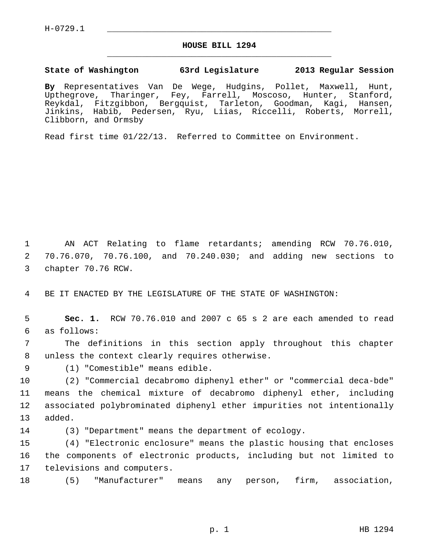$H-0729.1$ 

## **HOUSE BILL 1294** \_\_\_\_\_\_\_\_\_\_\_\_\_\_\_\_\_\_\_\_\_\_\_\_\_\_\_\_\_\_\_\_\_\_\_\_\_\_\_\_\_\_\_\_\_

## **State of Washington 63rd Legislature 2013 Regular Session**

**By** Representatives Van De Wege, Hudgins, Pollet, Maxwell, Hunt, Upthegrove, Tharinger, Fey, Farrell, Moscoso, Hunter, Stanford, Reykdal, Fitzgibbon, Bergquist, Tarleton, Goodman, Kagi, Hansen, Jinkins, Habib, Pedersen, Ryu, Liias, Riccelli, Roberts, Morrell, Clibborn, and Ormsby

Read first time 01/22/13. Referred to Committee on Environment.

 1 AN ACT Relating to flame retardants; amending RCW 70.76.010, 2 70.76.070, 70.76.100, and 70.240.030; and adding new sections to 3 chapter 70.76 RCW.

4 BE IT ENACTED BY THE LEGISLATURE OF THE STATE OF WASHINGTON:

 5 **Sec. 1.** RCW 70.76.010 and 2007 c 65 s 2 are each amended to read 6 as follows:

 7 The definitions in this section apply throughout this chapter 8 unless the context clearly requires otherwise.

9 (1) "Comestible" means edible.

10 (2) "Commercial decabromo diphenyl ether" or "commercial deca-bde" 11 means the chemical mixture of decabromo diphenyl ether, including 12 associated polybrominated diphenyl ether impurities not intentionally 13 added.

14 (3) "Department" means the department of ecology.

15 (4) "Electronic enclosure" means the plastic housing that encloses 16 the components of electronic products, including but not limited to 17 televisions and computers.

18 (5) "Manufacturer" means any person, firm, association,

p. 1 HB 1294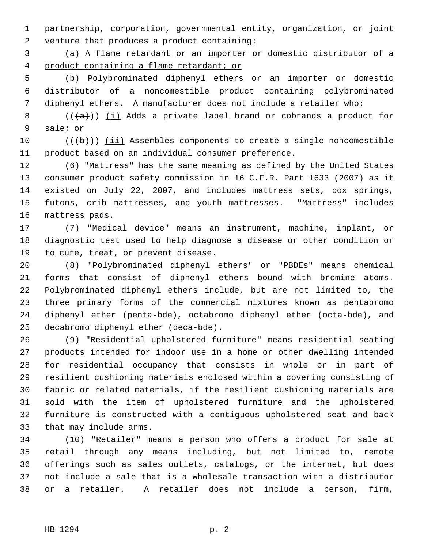1 partnership, corporation, governmental entity, organization, or joint 2 venture that produces a product containing:

 3 (a) A flame retardant or an importer or domestic distributor of a 4 product containing a flame retardant; or

 5 (b) Polybrominated diphenyl ethers or an importer or domestic 6 distributor of a noncomestible product containing polybrominated 7 diphenyl ethers. A manufacturer does not include a retailer who:

8 ( $(\overline{\{a\}})$ ) (i) Adds a private label brand or cobrands a product for 9 sale; or

10  $((+b))$  (ii) Assembles components to create a single noncomestible 11 product based on an individual consumer preference.

12 (6) "Mattress" has the same meaning as defined by the United States 13 consumer product safety commission in 16 C.F.R. Part 1633 (2007) as it 14 existed on July 22, 2007, and includes mattress sets, box springs, 15 futons, crib mattresses, and youth mattresses. "Mattress" includes 16 mattress pads.

17 (7) "Medical device" means an instrument, machine, implant, or 18 diagnostic test used to help diagnose a disease or other condition or 19 to cure, treat, or prevent disease.

20 (8) "Polybrominated diphenyl ethers" or "PBDEs" means chemical 21 forms that consist of diphenyl ethers bound with bromine atoms. 22 Polybrominated diphenyl ethers include, but are not limited to, the 23 three primary forms of the commercial mixtures known as pentabromo 24 diphenyl ether (penta-bde), octabromo diphenyl ether (octa-bde), and 25 decabromo diphenyl ether (deca-bde).

26 (9) "Residential upholstered furniture" means residential seating 27 products intended for indoor use in a home or other dwelling intended 28 for residential occupancy that consists in whole or in part of 29 resilient cushioning materials enclosed within a covering consisting of 30 fabric or related materials, if the resilient cushioning materials are 31 sold with the item of upholstered furniture and the upholstered 32 furniture is constructed with a contiguous upholstered seat and back 33 that may include arms.

34 (10) "Retailer" means a person who offers a product for sale at 35 retail through any means including, but not limited to, remote 36 offerings such as sales outlets, catalogs, or the internet, but does 37 not include a sale that is a wholesale transaction with a distributor 38 or a retailer. A retailer does not include a person, firm,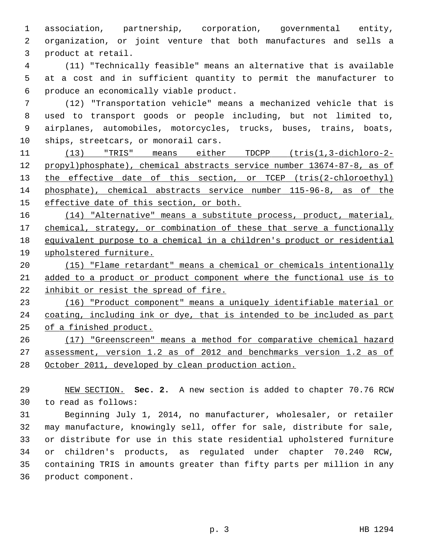1 association, partnership, corporation, governmental entity, 2 organization, or joint venture that both manufactures and sells a 3 product at retail.

 4 (11) "Technically feasible" means an alternative that is available 5 at a cost and in sufficient quantity to permit the manufacturer to 6 produce an economically viable product.

 7 (12) "Transportation vehicle" means a mechanized vehicle that is 8 used to transport goods or people including, but not limited to, 9 airplanes, automobiles, motorcycles, trucks, buses, trains, boats, 10 ships, streetcars, or monorail cars.

 (13) "TRIS" means either TDCPP (tris(1,3-dichloro-2- propyl)phosphate), chemical abstracts service number 13674-87-8, as of 13 the effective date of this section, or TCEP (tris(2-chloroethyl) phosphate), chemical abstracts service number 115-96-8, as of the effective date of this section, or both.

 (14) "Alternative" means a substitute process, product, material, chemical, strategy, or combination of these that serve a functionally equivalent purpose to a chemical in a children's product or residential upholstered furniture.

20 (15) "Flame retardant" means a chemical or chemicals intentionally 21 added to a product or product component where the functional use is to 22 inhibit or resist the spread of fire.

23 (16) "Product component" means a uniquely identifiable material or 24 coating, including ink or dye, that is intended to be included as part 25 of a finished product.

26 (17) "Greenscreen" means a method for comparative chemical hazard 27 assessment, version 1.2 as of 2012 and benchmarks version 1.2 as of 28 October 2011, developed by clean production action.

29 NEW SECTION. **Sec. 2.** A new section is added to chapter 70.76 RCW 30 to read as follows:

31 Beginning July 1, 2014, no manufacturer, wholesaler, or retailer 32 may manufacture, knowingly sell, offer for sale, distribute for sale, 33 or distribute for use in this state residential upholstered furniture 34 or children's products, as regulated under chapter 70.240 RCW, 35 containing TRIS in amounts greater than fifty parts per million in any 36 product component.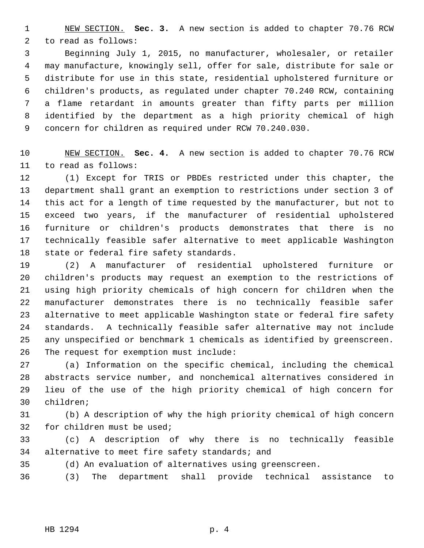1 NEW SECTION. **Sec. 3.** A new section is added to chapter 70.76 RCW 2 to read as follows:

 3 Beginning July 1, 2015, no manufacturer, wholesaler, or retailer 4 may manufacture, knowingly sell, offer for sale, distribute for sale or 5 distribute for use in this state, residential upholstered furniture or 6 children's products, as regulated under chapter 70.240 RCW, containing 7 a flame retardant in amounts greater than fifty parts per million 8 identified by the department as a high priority chemical of high 9 concern for children as required under RCW 70.240.030.

10 NEW SECTION. **Sec. 4.** A new section is added to chapter 70.76 RCW 11 to read as follows:

12 (1) Except for TRIS or PBDEs restricted under this chapter, the 13 department shall grant an exemption to restrictions under section 3 of 14 this act for a length of time requested by the manufacturer, but not to 15 exceed two years, if the manufacturer of residential upholstered 16 furniture or children's products demonstrates that there is no 17 technically feasible safer alternative to meet applicable Washington 18 state or federal fire safety standards.

19 (2) A manufacturer of residential upholstered furniture or 20 children's products may request an exemption to the restrictions of 21 using high priority chemicals of high concern for children when the 22 manufacturer demonstrates there is no technically feasible safer 23 alternative to meet applicable Washington state or federal fire safety 24 standards. A technically feasible safer alternative may not include 25 any unspecified or benchmark 1 chemicals as identified by greenscreen. 26 The request for exemption must include:

27 (a) Information on the specific chemical, including the chemical 28 abstracts service number, and nonchemical alternatives considered in 29 lieu of the use of the high priority chemical of high concern for 30 children;

31 (b) A description of why the high priority chemical of high concern 32 for children must be used;

33 (c) A description of why there is no technically feasible 34 alternative to meet fire safety standards; and

35 (d) An evaluation of alternatives using greenscreen.

36 (3) The department shall provide technical assistance to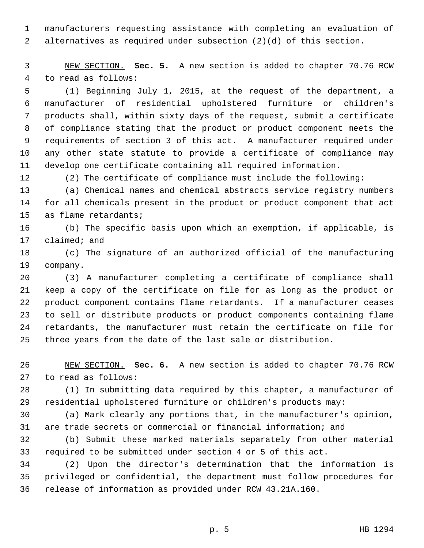1 manufacturers requesting assistance with completing an evaluation of 2 alternatives as required under subsection (2)(d) of this section.

 3 NEW SECTION. **Sec. 5.** A new section is added to chapter 70.76 RCW 4 to read as follows:

 5 (1) Beginning July 1, 2015, at the request of the department, a 6 manufacturer of residential upholstered furniture or children's 7 products shall, within sixty days of the request, submit a certificate 8 of compliance stating that the product or product component meets the 9 requirements of section 3 of this act. A manufacturer required under 10 any other state statute to provide a certificate of compliance may 11 develop one certificate containing all required information.

12 (2) The certificate of compliance must include the following:

13 (a) Chemical names and chemical abstracts service registry numbers 14 for all chemicals present in the product or product component that act 15 as flame retardants;

16 (b) The specific basis upon which an exemption, if applicable, is 17 claimed; and

18 (c) The signature of an authorized official of the manufacturing 19 company.

20 (3) A manufacturer completing a certificate of compliance shall 21 keep a copy of the certificate on file for as long as the product or 22 product component contains flame retardants. If a manufacturer ceases 23 to sell or distribute products or product components containing flame 24 retardants, the manufacturer must retain the certificate on file for 25 three years from the date of the last sale or distribution.

26 NEW SECTION. **Sec. 6.** A new section is added to chapter 70.76 RCW 27 to read as follows:

28 (1) In submitting data required by this chapter, a manufacturer of 29 residential upholstered furniture or children's products may:

30 (a) Mark clearly any portions that, in the manufacturer's opinion, 31 are trade secrets or commercial or financial information; and

32 (b) Submit these marked materials separately from other material 33 required to be submitted under section 4 or 5 of this act.

34 (2) Upon the director's determination that the information is 35 privileged or confidential, the department must follow procedures for 36 release of information as provided under RCW 43.21A.160.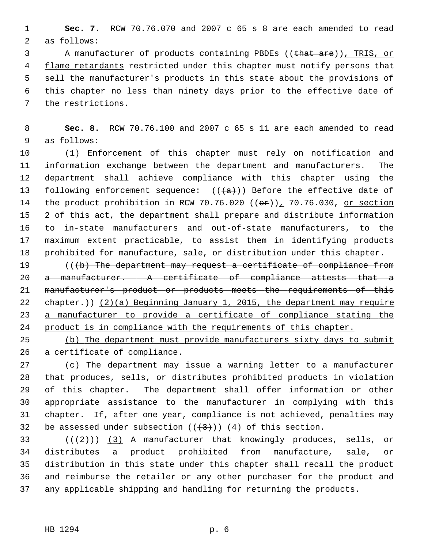1 **Sec. 7.** RCW 70.76.070 and 2007 c 65 s 8 are each amended to read 2 as follows:

3 A manufacturer of products containing PBDEs ((that are)), TRIS, or 4 flame retardants restricted under this chapter must notify persons that 5 sell the manufacturer's products in this state about the provisions of 6 this chapter no less than ninety days prior to the effective date of 7 the restrictions.

 8 **Sec. 8.** RCW 70.76.100 and 2007 c 65 s 11 are each amended to read 9 as follows:

10 (1) Enforcement of this chapter must rely on notification and 11 information exchange between the department and manufacturers. The 12 department shall achieve compliance with this chapter using the 13 following enforcement sequence:  $((+a))$  Before the effective date of 14 the product prohibition in RCW 70.76.020  $((\theta \hat{r}))$ , 70.76.030, or section 15 2 of this act, the department shall prepare and distribute information 16 to in-state manufacturers and out-of-state manufacturers, to the 17 maximum extent practicable, to assist them in identifying products 18 prohibited for manufacture, sale, or distribution under this chapter.

19 (((b) The department may request a certificate of compliance from 20 a manufacturer. A certificate of compliance attests that a manufacturer's product or products meets the requirements of this  $ehapter.)$ ) (2)(a) Beginning January 1, 2015, the department may require a manufacturer to provide a certificate of compliance stating the product is in compliance with the requirements of this chapter.

25 (b) The department must provide manufacturers sixty days to submit 26 a certificate of compliance.

27 (c) The department may issue a warning letter to a manufacturer 28 that produces, sells, or distributes prohibited products in violation 29 of this chapter. The department shall offer information or other 30 appropriate assistance to the manufacturer in complying with this 31 chapter. If, after one year, compliance is not achieved, penalties may 32 be assessed under subsection  $((+3))$   $(4)$  of this section.

33  $((+2))$  (3) A manufacturer that knowingly produces, sells, or 34 distributes a product prohibited from manufacture, sale, or 35 distribution in this state under this chapter shall recall the product 36 and reimburse the retailer or any other purchaser for the product and 37 any applicable shipping and handling for returning the products.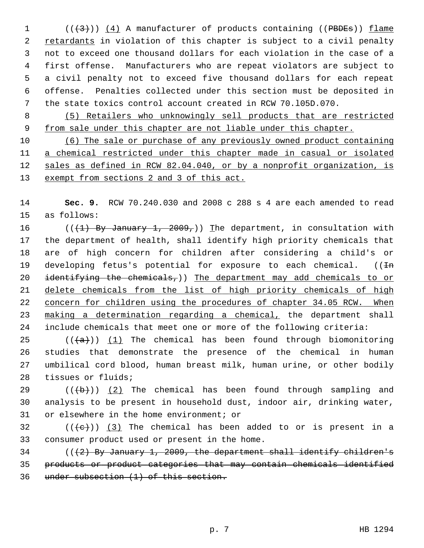$($  ( $($  $($  $($  $3$  $)$ ))  $($  4) A manufacturer of products containing (( PBDEs)) flame 2 retardants in violation of this chapter is subject to a civil penalty 3 not to exceed one thousand dollars for each violation in the case of a 4 first offense. Manufacturers who are repeat violators are subject to 5 a civil penalty not to exceed five thousand dollars for each repeat 6 offense. Penalties collected under this section must be deposited in 7 the state toxics control account created in RCW 70.l05D.070.

 8 (5) Retailers who unknowingly sell products that are restricted 9 from sale under this chapter are not liable under this chapter.

 (6) The sale or purchase of any previously owned product containing a chemical restricted under this chapter made in casual or isolated sales as defined in RCW 82.04.040, or by a nonprofit organization, is exempt from sections 2 and 3 of this act.

14 **Sec. 9.** RCW 70.240.030 and 2008 c 288 s 4 are each amended to read 15 as follows:

16 (( $(1)$  By January 1, 2009,)) The department, in consultation with 17 the department of health, shall identify high priority chemicals that 18 are of high concern for children after considering a child's or 19 developing fetus's potential for exposure to each chemical.  $((\text{In}$ 20 identifying the chemicals,)) The department may add chemicals to or 21 delete chemicals from the list of high priority chemicals of high 22 concern for children using the procedures of chapter 34.05 RCW. When 23 making a determination regarding a chemical, the department shall 24 include chemicals that meet one or more of the following criteria:

25 ( $(\overline{a})$ ) (1) The chemical has been found through biomonitoring 26 studies that demonstrate the presence of the chemical in human 27 umbilical cord blood, human breast milk, human urine, or other bodily 28 tissues or fluids;

29  $((+b))$  (2) The chemical has been found through sampling and 30 analysis to be present in household dust, indoor air, drinking water, 31 or elsewhere in the home environment; or

32 ( $(\overline{\left\langle e\right\rangle})$  (3) The chemical has been added to or is present in a 33 consumer product used or present in the home.

34 ( $(\sqrt{2})$  By January 1, 2009, the department shall identify children's 35 products or product categories that may contain chemicals identified 36 under subsection (1) of this section.